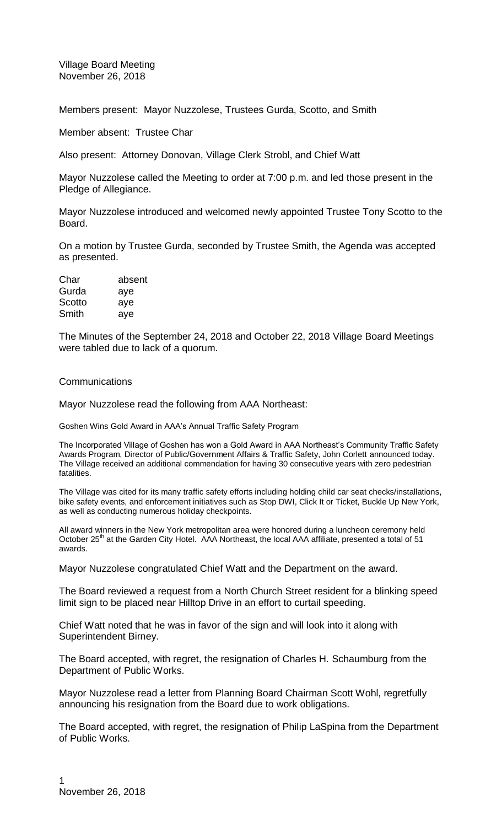Village Board Meeting November 26, 2018

Members present: Mayor Nuzzolese, Trustees Gurda, Scotto, and Smith

Member absent: Trustee Char

Also present: Attorney Donovan, Village Clerk Strobl, and Chief Watt

Mayor Nuzzolese called the Meeting to order at 7:00 p.m. and led those present in the Pledge of Allegiance.

Mayor Nuzzolese introduced and welcomed newly appointed Trustee Tony Scotto to the Board.

On a motion by Trustee Gurda, seconded by Trustee Smith, the Agenda was accepted as presented.

| Char   | absent |
|--------|--------|
| Gurda  | aye    |
| Scotto | aye    |
| Smith  | aye    |

The Minutes of the September 24, 2018 and October 22, 2018 Village Board Meetings were tabled due to lack of a quorum.

## **Communications**

Mayor Nuzzolese read the following from AAA Northeast:

Goshen Wins Gold Award in AAA's Annual Traffic Safety Program

The Incorporated Village of Goshen has won a Gold Award in AAA Northeast's Community Traffic Safety Awards Program, Director of Public/Government Affairs & Traffic Safety, John Corlett announced today. The Village received an additional commendation for having 30 consecutive years with zero pedestrian fatalities.

The Village was cited for its many traffic safety efforts including holding child car seat checks/installations, bike safety events, and enforcement initiatives such as Stop DWI, Click It or Ticket, Buckle Up New York, as well as conducting numerous holiday checkpoints.

All award winners in the New York metropolitan area were honored during a luncheon ceremony held October 25<sup>th</sup> at the Garden City Hotel. AAA Northeast, the local AAA affiliate, presented a total of 51 awards.

Mayor Nuzzolese congratulated Chief Watt and the Department on the award.

The Board reviewed a request from a North Church Street resident for a blinking speed limit sign to be placed near Hilltop Drive in an effort to curtail speeding.

Chief Watt noted that he was in favor of the sign and will look into it along with Superintendent Birney.

The Board accepted, with regret, the resignation of Charles H. Schaumburg from the Department of Public Works.

Mayor Nuzzolese read a letter from Planning Board Chairman Scott Wohl, regretfully announcing his resignation from the Board due to work obligations.

The Board accepted, with regret, the resignation of Philip LaSpina from the Department of Public Works.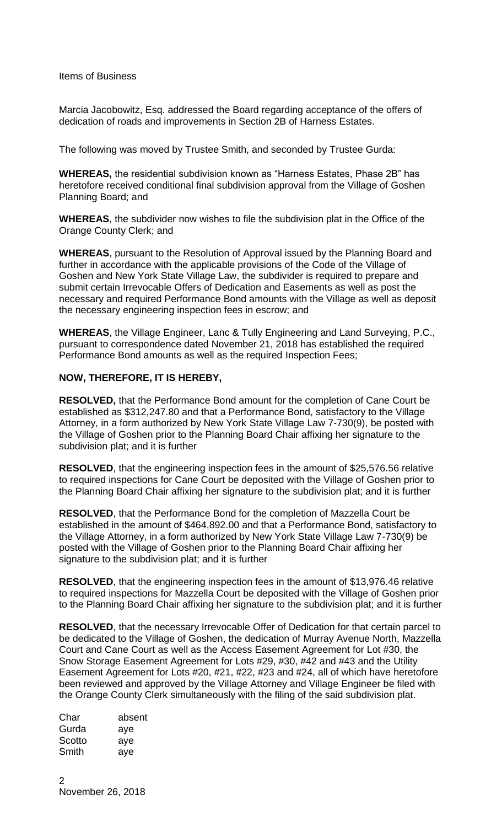## Items of Business

Marcia Jacobowitz, Esq. addressed the Board regarding acceptance of the offers of dedication of roads and improvements in Section 2B of Harness Estates.

The following was moved by Trustee Smith, and seconded by Trustee Gurda:

**WHEREAS,** the residential subdivision known as "Harness Estates, Phase 2B" has heretofore received conditional final subdivision approval from the Village of Goshen Planning Board; and

**WHEREAS**, the subdivider now wishes to file the subdivision plat in the Office of the Orange County Clerk; and

**WHEREAS**, pursuant to the Resolution of Approval issued by the Planning Board and further in accordance with the applicable provisions of the Code of the Village of Goshen and New York State Village Law, the subdivider is required to prepare and submit certain Irrevocable Offers of Dedication and Easements as well as post the necessary and required Performance Bond amounts with the Village as well as deposit the necessary engineering inspection fees in escrow; and

**WHEREAS**, the Village Engineer, Lanc & Tully Engineering and Land Surveying, P.C., pursuant to correspondence dated November 21, 2018 has established the required Performance Bond amounts as well as the required Inspection Fees;

## **NOW, THEREFORE, IT IS HEREBY,**

**RESOLVED,** that the Performance Bond amount for the completion of Cane Court be established as \$312,247.80 and that a Performance Bond, satisfactory to the Village Attorney, in a form authorized by New York State Village Law 7-730(9), be posted with the Village of Goshen prior to the Planning Board Chair affixing her signature to the subdivision plat; and it is further

**RESOLVED**, that the engineering inspection fees in the amount of \$25,576.56 relative to required inspections for Cane Court be deposited with the Village of Goshen prior to the Planning Board Chair affixing her signature to the subdivision plat; and it is further

**RESOLVED**, that the Performance Bond for the completion of Mazzella Court be established in the amount of \$464,892.00 and that a Performance Bond, satisfactory to the Village Attorney, in a form authorized by New York State Village Law 7-730(9) be posted with the Village of Goshen prior to the Planning Board Chair affixing her signature to the subdivision plat; and it is further

**RESOLVED**, that the engineering inspection fees in the amount of \$13,976.46 relative to required inspections for Mazzella Court be deposited with the Village of Goshen prior to the Planning Board Chair affixing her signature to the subdivision plat; and it is further

**RESOLVED**, that the necessary Irrevocable Offer of Dedication for that certain parcel to be dedicated to the Village of Goshen, the dedication of Murray Avenue North, Mazzella Court and Cane Court as well as the Access Easement Agreement for Lot #30, the Snow Storage Easement Agreement for Lots #29, #30, #42 and #43 and the Utility Easement Agreement for Lots #20, #21, #22, #23 and #24, all of which have heretofore been reviewed and approved by the Village Attorney and Village Engineer be filed with the Orange County Clerk simultaneously with the filing of the said subdivision plat.

| Char   | absent |
|--------|--------|
| Gurda  | aye    |
| Scotto | aye    |
| Smith  | aye    |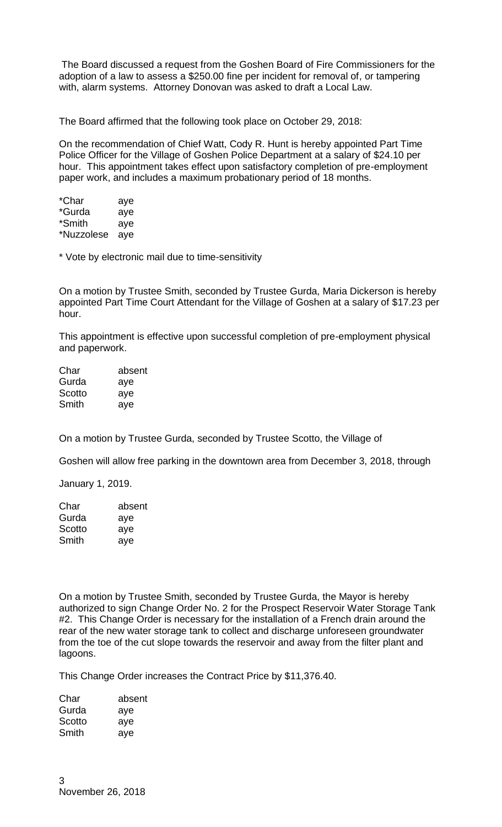The Board discussed a request from the Goshen Board of Fire Commissioners for the adoption of a law to assess a \$250.00 fine per incident for removal of, or tampering with, alarm systems. Attorney Donovan was asked to draft a Local Law.

The Board affirmed that the following took place on October 29, 2018:

On the recommendation of Chief Watt, Cody R. Hunt is hereby appointed Part Time Police Officer for the Village of Goshen Police Department at a salary of \$24.10 per hour. This appointment takes effect upon satisfactory completion of pre-employment paper work, and includes a maximum probationary period of 18 months.

| *Char      | aye |
|------------|-----|
| *Gurda     | aye |
| *Smith     | aye |
| *Nuzzolese | aye |

\* Vote by electronic mail due to time-sensitivity

On a motion by Trustee Smith, seconded by Trustee Gurda, Maria Dickerson is hereby appointed Part Time Court Attendant for the Village of Goshen at a salary of \$17.23 per hour.

This appointment is effective upon successful completion of pre-employment physical and paperwork.

| Char   | absent |
|--------|--------|
| Gurda  | aye    |
| Scotto | aye    |
| Smith  | aye    |
|        |        |

On a motion by Trustee Gurda, seconded by Trustee Scotto, the Village of

Goshen will allow free parking in the downtown area from December 3, 2018, through

January 1, 2019.

| Char   | absent |
|--------|--------|
| Gurda  | aye    |
| Scotto | aye    |
| Smith  | aye    |

On a motion by Trustee Smith, seconded by Trustee Gurda, the Mayor is hereby authorized to sign Change Order No. 2 for the Prospect Reservoir Water Storage Tank #2. This Change Order is necessary for the installation of a French drain around the rear of the new water storage tank to collect and discharge unforeseen groundwater from the toe of the cut slope towards the reservoir and away from the filter plant and lagoons.

This Change Order increases the Contract Price by \$11,376.40.

| Char   | absent |
|--------|--------|
| Gurda  | aye    |
| Scotto | aye    |
| Smith  | aye    |